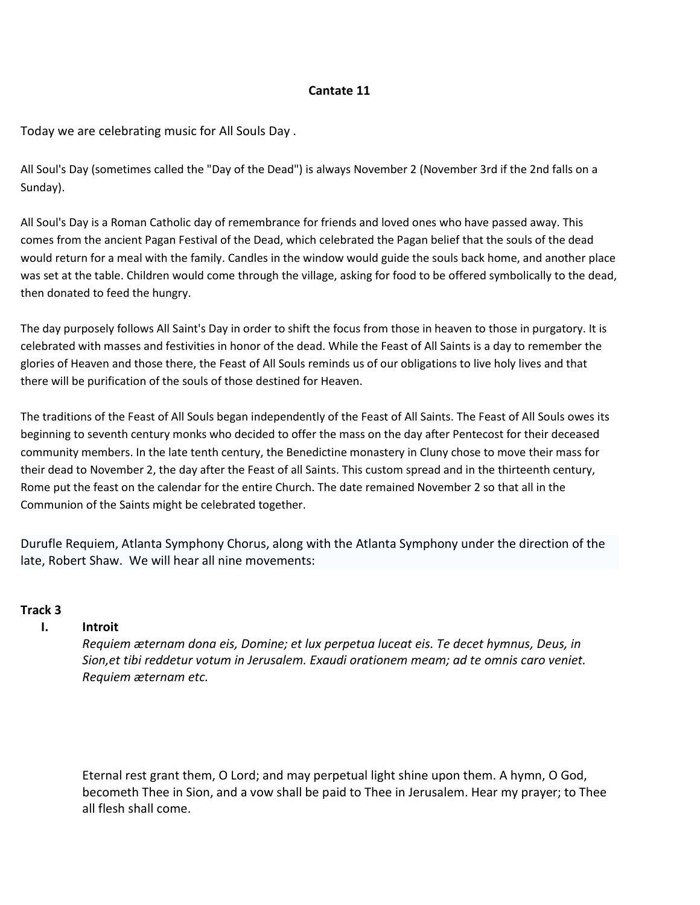# **Cantate 11**

Today we are celebrating music for All Souls Day .

All Soul's Day (sometimes called the "Day of the Dead") is always November 2 (November 3rd if the 2nd falls on a Sunday).

All Soul's Day is a Roman Catholic day of remembrance for friends and loved ones who have passed away. This comes from the ancient Pagan Festival of the Dead, which celebrated the Pagan belief that the souls of the dead would return for a meal with the family. Candles in the window would guide the souls back home, and another place was set at the table. Children would come through the village, asking for food to be offered symbolically to the dead, then donated to feed the hungry.

The day purposely follows All Saint's Day in order to shift the focus from those in heaven to those in purgatory. It is celebrated with masses and festivities in honor of the dead. While the Feast of All Saints is a day to remember the glories of Heaven and those there, the Feast of All Souls reminds us of our obligations to live holy lives and that there will be purification of the souls of those destined for Heaven.

The traditions of the Feast of All Souls began independently of the Feast of All Saints. The Feast of All Souls owes its beginning to seventh century monks who decided to offer the mass on the day after Pentecost for their deceased community members. In the late tenth century, the Benedictine monastery in Cluny chose to move their mass for their dead to November 2, the day after the Feast of all Saints. This custom spread and in the thirteenth century, Rome put the feast on the calendar for the entire Church. The date remained November 2 so that all in the Communion of the Saints might be celebrated together.

Durufle Requiem, Atlanta Symphony Chorus, along with the Atlanta Symphony under the direction of the late, Robert Shaw. We will hear all nine movements:

# **Track 3**

# **I. Introit**

*Requiem æternam dona eis, Domine; et lux perpetua luceat eis. Te decet hymnus, Deus, in Sion,et tibi reddetur votum in Jerusalem. Exaudi orationem meam; ad te omnis caro veniet. Requiem æternam etc.*

Eternal rest grant them, O Lord; and may perpetual light shine upon them. A hymn, O God, becometh Thee in Sion, and a vow shall be paid to Thee in Jerusalem. Hear my prayer; to Thee all flesh shall come.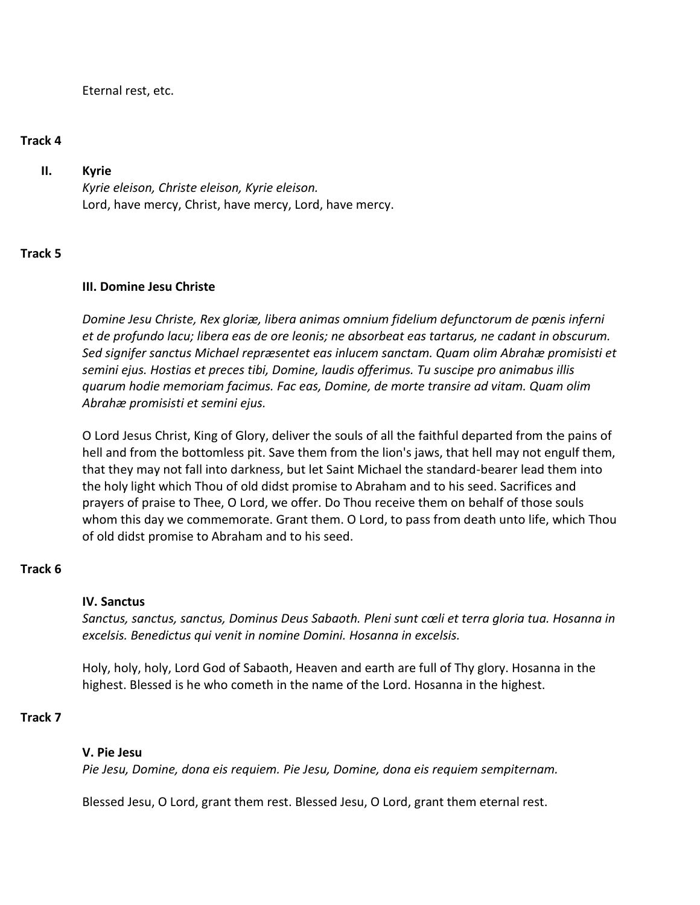Eternal rest, etc.

#### **Track 4**

# **II. Kyrie**

*Kyrie eleison, Christe eleison, Kyrie eleison.* Lord, have mercy, Christ, have mercy, Lord, have mercy.

# **Track 5**

#### **III. Domine Jesu Christe**

*Domine Jesu Christe, Rex gloriæ, libera animas omnium fidelium defunctorum de pœnis inferni et de profundo lacu; libera eas de ore leonis; ne absorbeat eas tartarus, ne cadant in obscurum. Sed signifer sanctus Michael repræsentet eas inlucem sanctam. Quam olim Abrahæ promisisti et semini ejus. Hostias et preces tibi, Domine, laudis offerimus. Tu suscipe pro animabus illis quarum hodie memoriam facimus. Fac eas, Domine, de morte transire ad vitam. Quam olim Abrahæ promisisti et semini ejus.*

O Lord Jesus Christ, King of Glory, deliver the souls of all the faithful departed from the pains of hell and from the bottomless pit. Save them from the lion's jaws, that hell may not engulf them, that they may not fall into darkness, but let Saint Michael the standard-bearer lead them into the holy light which Thou of old didst promise to Abraham and to his seed. Sacrifices and prayers of praise to Thee, O Lord, we offer. Do Thou receive them on behalf of those souls whom this day we commemorate. Grant them. O Lord, to pass from death unto life, which Thou of old didst promise to Abraham and to his seed.

# **Track 6**

#### **IV. Sanctus**

*Sanctus, sanctus, sanctus, Dominus Deus Sabaoth. Pleni sunt cœli et terra gloria tua. Hosanna in excelsis. Benedictus qui venit in nomine Domini. Hosanna in excelsis.*

Holy, holy, holy, Lord God of Sabaoth, Heaven and earth are full of Thy glory. Hosanna in the highest. Blessed is he who cometh in the name of the Lord. Hosanna in the highest.

#### **Track 7**

#### **V. Pie Jesu**

*Pie Jesu, Domine, dona eis requiem. Pie Jesu, Domine, dona eis requiem sempiternam.*

Blessed Jesu, O Lord, grant them rest. Blessed Jesu, O Lord, grant them eternal rest.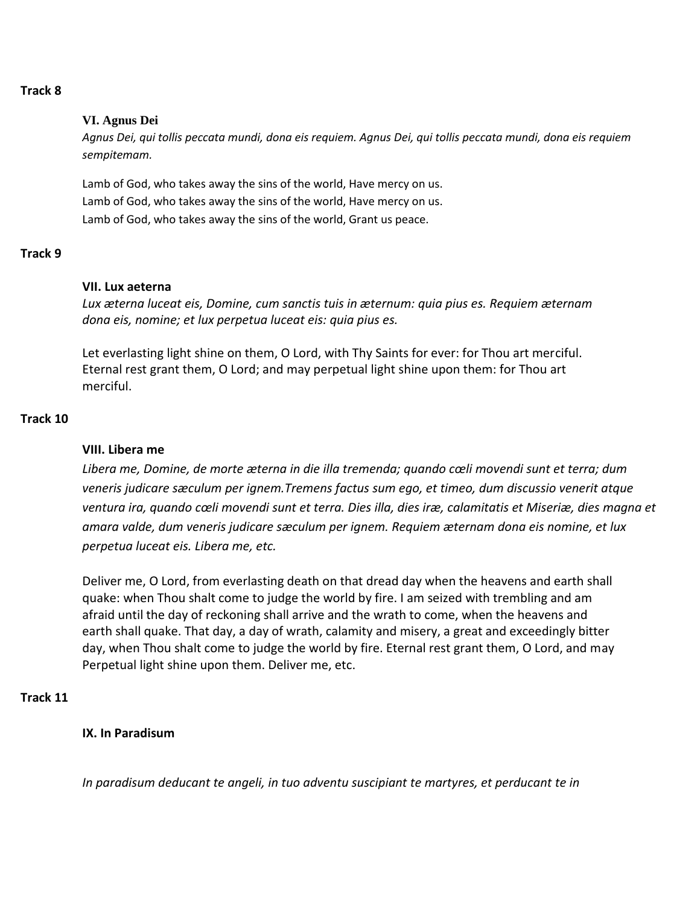## **Track 8**

#### **VI. Agnus Dei**

*Agnus Dei, qui tollis peccata mundi, dona eis requiem. Agnus Dei, qui tollis peccata mundi, dona eis requiem sempitemam.*

Lamb of God, who takes away the sins of the world, Have mercy on us. Lamb of God, who takes away the sins of the world, Have mercy on us. Lamb of God, who takes away the sins of the world, Grant us peace.

# **Track 9**

#### **VII. Lux aeterna**

*Lux æterna luceat eis, Domine, cum sanctis tuis in æternum: quia pius es. Requiem æternam dona eis, nomine; et lux perpetua luceat eis: quia pius es.*

Let everlasting light shine on them, O Lord, with Thy Saints for ever: for Thou art merciful. Eternal rest grant them, O Lord; and may perpetual light shine upon them: for Thou art merciful.

#### **Track 10**

# **VIII. Libera me**

*Libera me, Domine, de morte æterna in die illa tremenda; quando cœli movendi sunt et terra; dum veneris judicare sæculum per ignem.Tremens factus sum ego, et timeo, dum discussio venerit atque ventura ira, quando cœli movendi sunt et terra. Dies illa, dies iræ, calamitatis et Miseriæ, dies magna et amara valde, dum veneris judicare sæculum per ignem. Requiem æternam dona eis nomine, et lux perpetua luceat eis. Libera me, etc.*

Deliver me, O Lord, from everlasting death on that dread day when the heavens and earth shall quake: when Thou shalt come to judge the world by fire. I am seized with trembling and am afraid until the day of reckoning shall arrive and the wrath to come, when the heavens and earth shall quake. That day, a day of wrath, calamity and misery, a great and exceedingly bitter day, when Thou shalt come to judge the world by fire. Eternal rest grant them, O Lord, and may Perpetual light shine upon them. Deliver me, etc.

# **Track 11**

# **IX. In Paradisum**

*In paradisum deducant te angeli, in tuo adventu suscipiant te martyres, et perducant te in*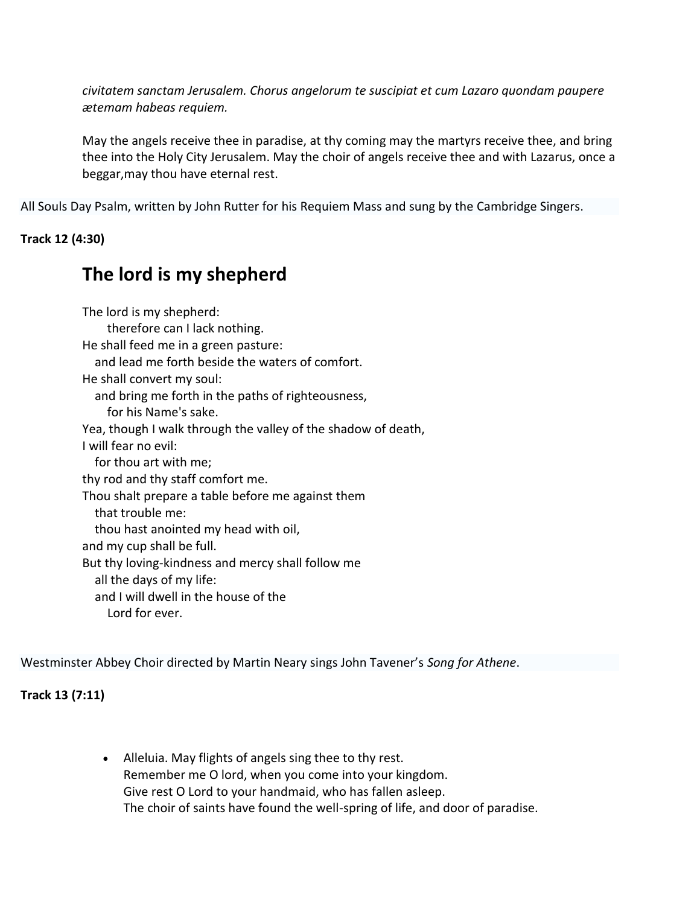*civitatem sanctam Jerusalem. Chorus angelorum te suscipiat et cum Lazaro quondam paupere ætemam habeas requiem.*

May the angels receive thee in paradise, at thy coming may the martyrs receive thee, and bring thee into the Holy City Jerusalem. May the choir of angels receive thee and with Lazarus, once a beggar,may thou have eternal rest.

All Souls Day Psalm, written by John Rutter for his Requiem Mass and sung by the Cambridge Singers.

# **Track 12 (4:30)**

# **The lord is my shepherd**

The lord is my shepherd: therefore can I lack nothing. He shall feed me in a green pasture: and lead me forth beside the waters of comfort. He shall convert my soul: and bring me forth in the paths of righteousness, for his Name's sake. Yea, though I walk through the valley of the shadow of death, I will fear no evil: for thou art with me; thy rod and thy staff comfort me. Thou shalt prepare a table before me against them that trouble me: thou hast anointed my head with oil, and my cup shall be full. But thy loving-kindness and mercy shall follow me all the days of my life: and I will dwell in the house of the Lord for ever.

Westminster Abbey Choir directed by Martin Neary sings John Tavener's *Song for Athene*.

**Track 13 (7:11)**

 Alleluia. May flights of angels sing thee to thy rest. Remember me O lord, when you come into your kingdom. Give rest O Lord to your handmaid, who has fallen asleep. The choir of saints have found the well-spring of life, and door of paradise.